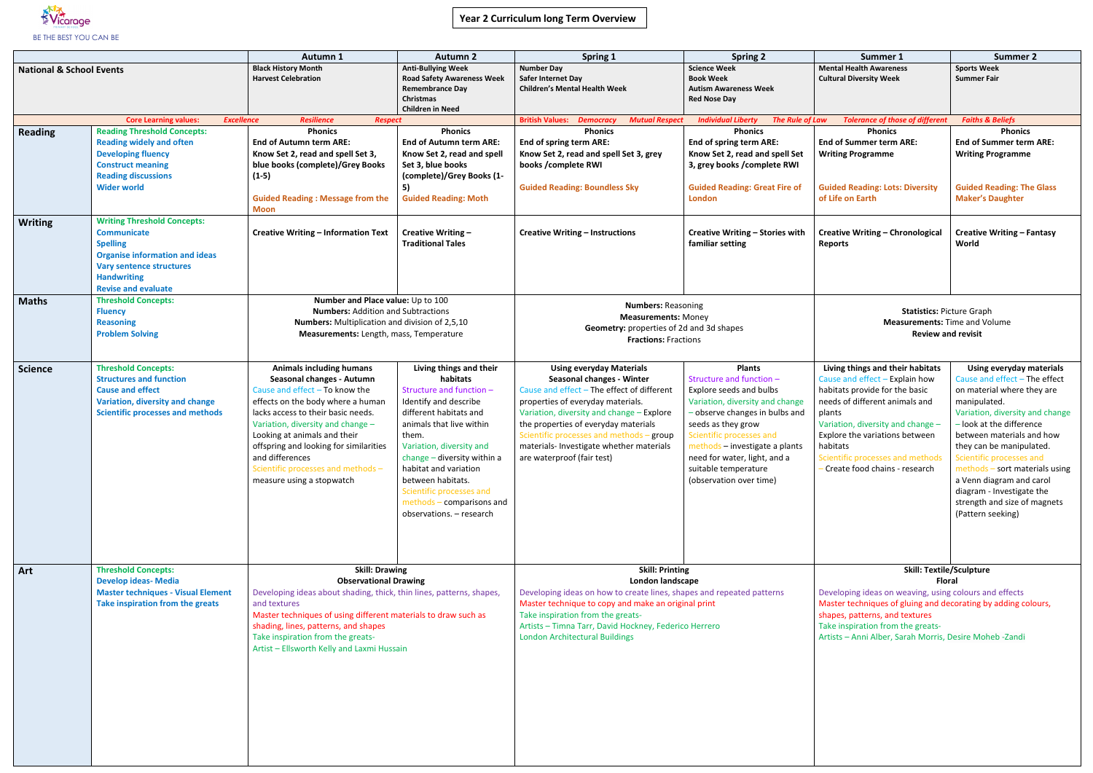

|                                     |                                                                                                                                                                                                             | <b>Autumn 1</b>                                                                                                                                                                                                                                                                                                                                                                  | <b>Autumn 2</b>                                                                                                                                                                                                                                                                                                                                       | <b>Spring 1</b>                                                                                                                                                                                                                                                                                                                                                   | <b>Spring 2</b>                                                                                                                                                                                                                                                                                                  | Summer 1                                                                                                                                                                                                                                                                                                                            | <b>Summer 2</b>                                                                                                                                                                                                                                                                                                                                                                 |
|-------------------------------------|-------------------------------------------------------------------------------------------------------------------------------------------------------------------------------------------------------------|----------------------------------------------------------------------------------------------------------------------------------------------------------------------------------------------------------------------------------------------------------------------------------------------------------------------------------------------------------------------------------|-------------------------------------------------------------------------------------------------------------------------------------------------------------------------------------------------------------------------------------------------------------------------------------------------------------------------------------------------------|-------------------------------------------------------------------------------------------------------------------------------------------------------------------------------------------------------------------------------------------------------------------------------------------------------------------------------------------------------------------|------------------------------------------------------------------------------------------------------------------------------------------------------------------------------------------------------------------------------------------------------------------------------------------------------------------|-------------------------------------------------------------------------------------------------------------------------------------------------------------------------------------------------------------------------------------------------------------------------------------------------------------------------------------|---------------------------------------------------------------------------------------------------------------------------------------------------------------------------------------------------------------------------------------------------------------------------------------------------------------------------------------------------------------------------------|
| <b>National &amp; School Events</b> |                                                                                                                                                                                                             | <b>Black History Month</b><br><b>Harvest Celebration</b>                                                                                                                                                                                                                                                                                                                         | <b>Anti-Bullying Week</b><br><b>Road Safety Awareness Week</b><br><b>Remembrance Day</b><br><b>Christmas</b><br><b>Children in Need</b>                                                                                                                                                                                                               | <b>Number Day</b><br>Safer Internet Day<br><b>Children's Mental Health Week</b>                                                                                                                                                                                                                                                                                   | <b>Science Week</b><br><b>Book Week</b><br><b>Autism Awareness Week</b><br><b>Red Nose Day</b>                                                                                                                                                                                                                   | <b>Mental Health Awareness</b><br><b>Cultural Diversity Week</b>                                                                                                                                                                                                                                                                    | <b>Sports Week</b><br><b>Summer Fair</b>                                                                                                                                                                                                                                                                                                                                        |
|                                     | <b>Core Learning values:</b><br><b>Excellence</b>                                                                                                                                                           | <b>Resilience</b><br><b>Respect</b>                                                                                                                                                                                                                                                                                                                                              |                                                                                                                                                                                                                                                                                                                                                       | <b>British Values:</b><br><b>Mutual Respect</b><br><b>Democracy</b>                                                                                                                                                                                                                                                                                               | <b>Individual Liberty</b><br><b>The Rule of Law</b>                                                                                                                                                                                                                                                              | <b>Tolerance of those of different</b>                                                                                                                                                                                                                                                                                              | <b>Faiths &amp; Beliefs</b>                                                                                                                                                                                                                                                                                                                                                     |
| <b>Reading</b>                      | <b>Reading Threshold Concepts:</b><br><b>Reading widely and often</b><br><b>Developing fluency</b><br><b>Construct meaning</b><br><b>Reading discussions</b><br><b>Wider world</b>                          | <b>Phonics</b><br><b>End of Autumn term ARE:</b><br>Know Set 2, read and spell Set 3,<br>blue books (complete)/Grey Books<br>$(1-5)$<br><b>Guided Reading: Message from the</b>                                                                                                                                                                                                  | <b>Phonics</b><br><b>End of Autumn term ARE:</b><br>Know Set 2, read and spell<br>Set 3, blue books<br>(complete)/Grey Books (1-<br>5)<br><b>Guided Reading: Moth</b>                                                                                                                                                                                 | <b>Phonics</b><br><b>End of spring term ARE:</b><br>Know Set 2, read and spell Set 3, grey<br>books /complete RWI<br><b>Guided Reading: Boundless Sky</b>                                                                                                                                                                                                         | <b>Phonics</b><br><b>End of spring term ARE:</b><br>Know Set 2, read and spell Set<br>3, grey books / complete RWI<br><b>Guided Reading: Great Fire of</b><br><b>London</b>                                                                                                                                      | <b>Phonics</b><br><b>End of Summer term ARE:</b><br><b>Writing Programme</b><br><b>Guided Reading: Lots: Diversity</b><br>of Life on Earth                                                                                                                                                                                          | <b>Phonics</b><br><b>End of Summer term ARE:</b><br><b>Writing Programme</b><br><b>Guided Reading: The Glass</b><br><b>Maker's Daughter</b>                                                                                                                                                                                                                                     |
|                                     |                                                                                                                                                                                                             | <b>Moon</b>                                                                                                                                                                                                                                                                                                                                                                      |                                                                                                                                                                                                                                                                                                                                                       |                                                                                                                                                                                                                                                                                                                                                                   |                                                                                                                                                                                                                                                                                                                  |                                                                                                                                                                                                                                                                                                                                     |                                                                                                                                                                                                                                                                                                                                                                                 |
| <b>Writing</b>                      | <b>Writing Threshold Concepts:</b><br><b>Communicate</b><br><b>Spelling</b><br><b>Organise information and ideas</b><br><b>Vary sentence structures</b><br><b>Handwriting</b><br><b>Revise and evaluate</b> | <b>Creative Writing - Information Text</b>                                                                                                                                                                                                                                                                                                                                       | Creative Writing -<br><b>Traditional Tales</b>                                                                                                                                                                                                                                                                                                        | <b>Creative Writing - Instructions</b>                                                                                                                                                                                                                                                                                                                            | Creative Writing - Stories with<br>familiar setting                                                                                                                                                                                                                                                              | <b>Creative Writing - Chronological</b><br><b>Reports</b>                                                                                                                                                                                                                                                                           | <b>Creative Writing - Fantasy</b><br>World                                                                                                                                                                                                                                                                                                                                      |
| <b>Maths</b>                        | <b>Threshold Concepts:</b><br><b>Fluency</b><br><b>Reasoning</b><br><b>Problem Solving</b>                                                                                                                  | Number and Place value: Up to 100<br><b>Numbers: Addition and Subtractions</b><br>Numbers: Multiplication and division of 2,5,10<br>Measurements: Length, mass, Temperature                                                                                                                                                                                                      |                                                                                                                                                                                                                                                                                                                                                       | <b>Numbers: Reasoning</b><br><b>Measurements: Money</b><br>Geometry: properties of 2d and 3d shapes<br><b>Fractions: Fractions</b>                                                                                                                                                                                                                                |                                                                                                                                                                                                                                                                                                                  | <b>Statistics: Picture Graph</b><br><b>Measurements: Time and Volume</b><br><b>Review and revisit</b>                                                                                                                                                                                                                               |                                                                                                                                                                                                                                                                                                                                                                                 |
| <b>Science</b>                      | <b>Threshold Concepts:</b><br><b>Structures and function</b><br><b>Cause and effect</b><br>Variation, diversity and change<br><b>Scientific processes and methods</b>                                       | <b>Animals including humans</b><br>Seasonal changes - Autumn<br>Cause and effect $-$ To know the<br>effects on the body where a human<br>lacks access to their basic needs.<br>Variation, diversity and change -<br>Looking at animals and their<br>offspring and looking for similarities<br>and differences<br>Scientific processes and methods -<br>measure using a stopwatch | Living things and their<br>habitats<br>Structure and function -<br>Identify and describe<br>different habitats and<br>animals that live within<br>them.<br>Variation, diversity and<br>change - diversity within a<br>habitat and variation<br>between habitats.<br>Scientific processes and<br>methods - comparisons and<br>observations. - research | <b>Using everyday Materials</b><br><b>Seasonal changes - Winter</b><br>Cause and effect - The effect of different<br>properties of everyday materials.<br>Variation, diversity and change - Explore<br>the properties of everyday materials<br>Scientific processes and methods - group<br>materials- Investigate whether materials<br>are waterproof (fair test) | <b>Plants</b><br>Structure and function -<br>Explore seeds and bulbs<br>Variation, diversity and change<br>- observe changes in bulbs and<br>seeds as they grow<br>Scientific processes and<br>methods - investigate a plants<br>need for water, light, and a<br>suitable temperature<br>(observation over time) | Living things and their habitats<br>Cause and effect - Explain how<br>habitats provide for the basic<br>needs of different animals and<br>plants<br>Variation, diversity and change -<br>Explore the variations between<br>habitats<br>Scientific processes and methods   Scientific processes and<br>Create food chains - research | Using everyday materials<br>Cause and effect - The effect<br>on material where they are<br>manipulated.<br>Variation, diversity and change<br>- look at the difference<br>between materials and how<br>they can be manipulated.<br>methods - sort materials using<br>a Venn diagram and carol<br>diagram - Investigate the<br>strength and size of magnets<br>(Pattern seeking) |
| Art                                 | <b>Threshold Concepts:</b><br><b>Develop ideas- Media</b><br><b>Master techniques - Visual Element</b><br>Take inspiration from the greats                                                                  | <b>Skill: Drawing</b><br><b>Observational Drawing</b><br>Developing ideas about shading, thick, thin lines, patterns, shapes,<br>and textures<br>Master techniques of using different materials to draw such as<br>shading, lines, patterns, and shapes<br>Take inspiration from the greats-<br>Artist - Ellsworth Kelly and Laxmi Hussain                                       |                                                                                                                                                                                                                                                                                                                                                       | <b>Skill: Printing</b><br>London landscape<br>Developing ideas on how to create lines, shapes and repeated patterns<br>Master technique to copy and make an original print<br>Take inspiration from the greats-<br>Artists - Timna Tarr, David Hockney, Federico Herrero<br><b>London Architectural Buildings</b>                                                 |                                                                                                                                                                                                                                                                                                                  | <b>Skill: Textile/Sculpture</b><br><b>Floral</b><br>Developing ideas on weaving, using colours and effects<br>Master techniques of gluing and decorating by adding colours,<br>shapes, patterns, and textures<br>Take inspiration from the greats-<br>Artists - Anni Alber, Sarah Morris, Desire Moheb - Zandi                      |                                                                                                                                                                                                                                                                                                                                                                                 |

| iving things and their habitats.<br>ause and effect – Explain how<br>abitats provide for the basic<br>eeds of different animals and<br>ants<br>ariation, diversity and change – | Using everyday materials<br>Cause and effect $-$ The effect<br>on material where they are<br>manipulated.<br>Variation, diversity and change<br>- look at the difference |
|---------------------------------------------------------------------------------------------------------------------------------------------------------------------------------|--------------------------------------------------------------------------------------------------------------------------------------------------------------------------|
|                                                                                                                                                                                 |                                                                                                                                                                          |
|                                                                                                                                                                                 |                                                                                                                                                                          |
|                                                                                                                                                                                 |                                                                                                                                                                          |
|                                                                                                                                                                                 |                                                                                                                                                                          |
| plore the variations between                                                                                                                                                    | between materials and how                                                                                                                                                |
| abitats                                                                                                                                                                         | they can be manipulated.                                                                                                                                                 |
| ientific processes and methods                                                                                                                                                  | Scientific processes and                                                                                                                                                 |
| Create food chains - research                                                                                                                                                   | $methods - sort$ materials using                                                                                                                                         |
|                                                                                                                                                                                 | a Venn diagram and carol                                                                                                                                                 |
|                                                                                                                                                                                 | diagram - Investigate the                                                                                                                                                |
|                                                                                                                                                                                 | strength and size of magnets                                                                                                                                             |
|                                                                                                                                                                                 | (Pattern seeking)                                                                                                                                                        |
|                                                                                                                                                                                 |                                                                                                                                                                          |
|                                                                                                                                                                                 |                                                                                                                                                                          |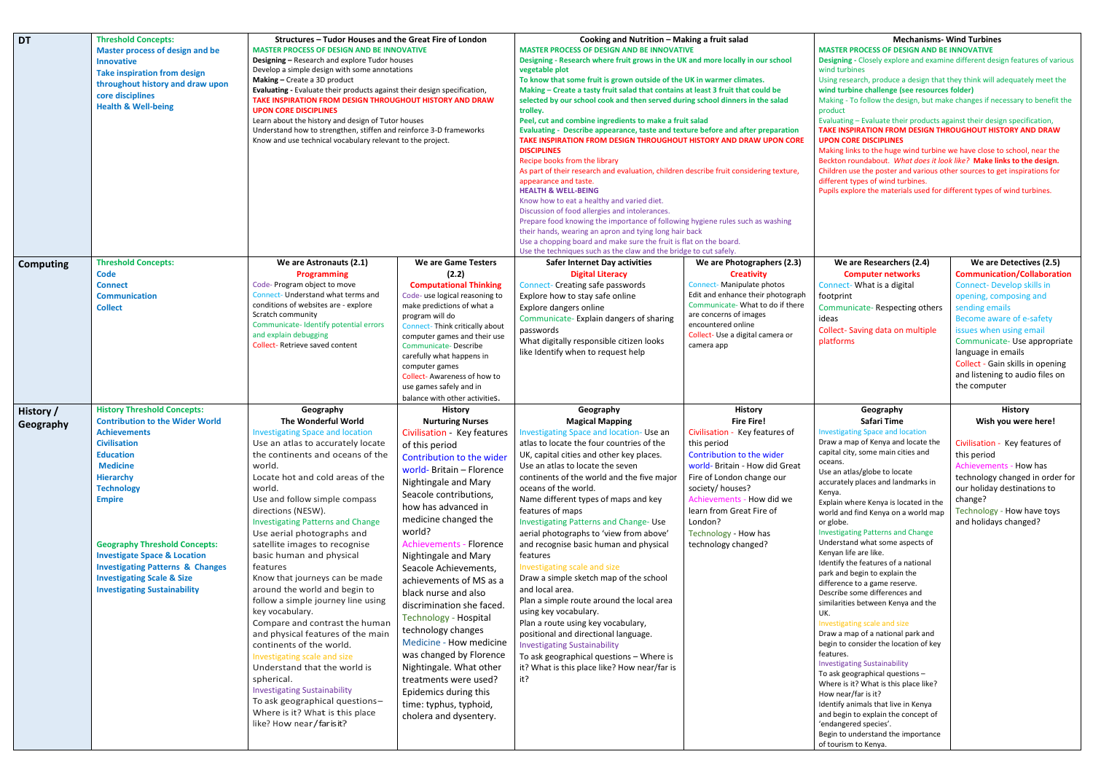# **Mechanisms- Wind Turbines**

## **MASTER PROCESS OF DESIGN AND BE INNOVATIVE**

**Designing -** Closely explore and examine different design features of various wind turbines

Using research, produce a design that they think will adequately meet the **wind turbine challenge (see resources folder)**

Making - To follow the design, but make changes if necessary to benefit the product

Evaluating – Evaluate their products against their design specification, **TAKE INSPIRATION FROM DESIGN THROUGHOUT HISTORY AND DRAW UPON CORE DISCIPLINES**

Making links to the huge wind turbine we have close to school, near the Beckton roundabout. *What does it look like?* **Make links to the design.**  Children use the poster and various other sources to get inspirations for different types of wind turbines.

upils explore the materials used for different types of wind turbines.

| <b>DT</b>              | <b>Threshold Concepts:</b><br><b>Master process of design and be</b><br><b>Innovative</b><br><b>Take inspiration from design</b><br>throughout history and draw upon<br>core disciplines<br><b>Health &amp; Well-being</b>                                                                                                                                                                                                                    | Structures - Tudor Houses and the Great Fire of London<br><b>MASTER PROCESS OF DESIGN AND BE INNOVATIVE</b><br><b>Designing - Research and explore Tudor houses</b><br>Develop a simple design with some annotations<br>Making - Create a 3D product<br>Evaluating - Evaluate their products against their design specification,<br>TAKE INSPIRATION FROM DESIGN THROUGHOUT HISTORY AND DRAW<br><b>UPON CORE DISCIPLINES</b><br>Learn about the history and design of Tutor houses<br>Understand how to strengthen, stiffen and reinforce 3-D frameworks<br>Know and use technical vocabulary relevant to the project.                                                                                                                                                                                                                                                       |                                                                                                                                                                                                                                                                                                                                                                                                                                                                                                                                                                                                                                                                                 | Cooking and Nutrition - Making a fruit salad<br><b>MASTER PROCESS OF DESIGN AND BE INNOVATIVE</b><br>Designing - Research where fruit grows in the UK and more locally in our school<br>vegetable plot<br>To know that some fruit is grown outside of the UK in warmer climates.<br>Making - Create a tasty fruit salad that contains at least 3 fruit that could be<br>selected by our school cook and then served during school dinners in the salad<br>trolley.<br>Peel, cut and combine ingredients to make a fruit salad<br>Evaluating - Describe appearance, taste and texture before and after preparation<br>TAKE INSPIRATION FROM DESIGN THROUGHOUT HISTORY AND DRAW UPON CORE<br><b>DISCIPLINES</b><br>Recipe books from the library<br>As part of their research and evaluation, children describe fruit considering texture,<br>appearance and taste.<br><b>HEALTH &amp; WELL-BEING</b><br>Know how to eat a healthy and varied diet.<br>Discussion of food allergies and intolerances.<br>Prepare food knowing the importance of following hygiene rules such as washing<br>their hands, wearing an apron and tying long hair back<br>Use a chopping board and make sure the fruit is flat on the board.<br>Use the techniques such as the claw and the bridge to cut safely. |                                                                                                                                                                                                                                                                                                                        |  |
|------------------------|-----------------------------------------------------------------------------------------------------------------------------------------------------------------------------------------------------------------------------------------------------------------------------------------------------------------------------------------------------------------------------------------------------------------------------------------------|------------------------------------------------------------------------------------------------------------------------------------------------------------------------------------------------------------------------------------------------------------------------------------------------------------------------------------------------------------------------------------------------------------------------------------------------------------------------------------------------------------------------------------------------------------------------------------------------------------------------------------------------------------------------------------------------------------------------------------------------------------------------------------------------------------------------------------------------------------------------------|---------------------------------------------------------------------------------------------------------------------------------------------------------------------------------------------------------------------------------------------------------------------------------------------------------------------------------------------------------------------------------------------------------------------------------------------------------------------------------------------------------------------------------------------------------------------------------------------------------------------------------------------------------------------------------|--------------------------------------------------------------------------------------------------------------------------------------------------------------------------------------------------------------------------------------------------------------------------------------------------------------------------------------------------------------------------------------------------------------------------------------------------------------------------------------------------------------------------------------------------------------------------------------------------------------------------------------------------------------------------------------------------------------------------------------------------------------------------------------------------------------------------------------------------------------------------------------------------------------------------------------------------------------------------------------------------------------------------------------------------------------------------------------------------------------------------------------------------------------------------------------------------------------------------------------------------------------------------------------------|------------------------------------------------------------------------------------------------------------------------------------------------------------------------------------------------------------------------------------------------------------------------------------------------------------------------|--|
| <b>Computing</b>       | <b>Threshold Concepts:</b><br><b>Code</b><br><b>Connect</b><br><b>Communication</b><br><b>Collect</b>                                                                                                                                                                                                                                                                                                                                         | We are Astronauts (2.1)<br><b>Programming</b><br>Code- Program object to move<br>Connect- Understand what terms and<br>conditions of websites are - explore<br>Scratch community<br>Communicate-Identify potential errors<br>and explain debugging<br>Collect-Retrieve saved content                                                                                                                                                                                                                                                                                                                                                                                                                                                                                                                                                                                         | We are Game Testers<br>(2.2)<br><b>Computational Thinking</b><br>Code- use logical reasoning to<br>make predictions of what a<br>program will do<br><b>Connect-Think critically about</b><br>computer games and their use<br>Communicate-Describe<br>carefully what happens in<br>computer games<br>Collect-Awareness of how to<br>use games safely and in<br>balance with other activitieS.                                                                                                                                                                                                                                                                                    | <b>Safer Internet Day activities</b><br><b>Digital Literacy</b><br><b>Connect- Creating safe passwords</b><br>Explore how to stay safe online<br>Explore dangers online<br>Communicate-Explain dangers of sharing<br>passwords<br>What digitally responsible citizen looks<br>like Identify when to request help                                                                                                                                                                                                                                                                                                                                                                                                                                                                                                                                                                                                                                                                                                                                                                                                                                                                                                                                                                           | We are Photographers (2.3)<br><b>Creativity</b><br>Connect-Manipulate photos<br>Edit and enhance their photograph<br>Communicate- What to do if there<br>are concerns of images<br>encountered online<br>Collect- Use a digital camera or<br>camera app                                                                |  |
| History /<br>Geography | <b>History Threshold Concepts:</b><br><b>Contribution to the Wider World</b><br><b>Achievements</b><br><b>Civilisation</b><br><b>Education</b><br><b>Medicine</b><br><b>Hierarchy</b><br><b>Technology</b><br><b>Empire</b><br><b>Geography Threshold Concepts:</b><br><b>Investigate Space &amp; Location</b><br><b>Investigating Patterns &amp; Changes</b><br><b>Investigating Scale &amp; Size</b><br><b>Investigating Sustainability</b> | Geography<br>The Wonderful World<br><b>Investigating Space and location</b><br>Use an atlas to accurately locate<br>the continents and oceans of the<br>world.<br>Locate hot and cold areas of the<br>world.<br>Use and follow simple compass<br>directions (NESW).<br><b>Investigating Patterns and Change</b><br>Use aerial photographs and<br>satellite images to recognise<br>basic human and physical<br>features<br>Know that journeys can be made<br>around the world and begin to<br>follow a simple journey line using<br>key vocabulary.<br>Compare and contrast the human<br>and physical features of the main<br>continents of the world.<br>Investigating scale and size<br>Understand that the world is<br>spherical.<br><b>Investigating Sustainability</b><br>To ask geographical questions-<br>Where is it? What is this place<br>like? How near/far is it? | <b>History</b><br><b>Nurturing Nurses</b><br>Civilisation - Key features<br>of this period<br>Contribution to the wider<br>world- Britain - Florence<br>Nightingale and Mary<br>Seacole contributions,<br>how has advanced in<br>medicine changed the<br>world?<br><b>Achievements - Florence</b><br>Nightingale and Mary<br>Seacole Achievements,<br>achievements of MS as a<br>black nurse and also<br>discrimination she faced.<br><b>Technology - Hospital</b><br>technology changes<br>Medicine - How medicine<br>was changed by Florence<br>Nightingale. What other<br>treatments were used?<br>Epidemics during this<br>time: typhus, typhoid,<br>cholera and dysentery. | Geography<br><b>Magical Mapping</b><br>Investigating Space and location- Use an<br>atlas to locate the four countries of the<br>UK, capital cities and other key places.<br>Use an atlas to locate the seven<br>continents of the world and the five major<br>oceans of the world.<br>Name different types of maps and key<br>features of maps<br><b>Investigating Patterns and Change-Use</b><br>aerial photographs to 'view from above'<br>and recognise basic human and physical<br>features<br>Investigating scale and size<br>Draw a simple sketch map of the school<br>and local area.<br>Plan a simple route around the local area<br>using key vocabulary.<br>Plan a route using key vocabulary,<br>positional and directional language.<br><b>Investigating Sustainability</b><br>To ask geographical questions - Where is<br>it? What is this place like? How near/far is<br>it?                                                                                                                                                                                                                                                                                                                                                                                                 | <b>History</b><br><b>Fire Fire!</b><br>Civilisation - Key features of<br>this period<br>Contribution to the wider<br>world- Britain - How did Great<br>Fire of London change our<br>society/houses?<br>Achievements - How did we<br>learn from Great Fire of<br>London?<br>Technology - How has<br>technology changed? |  |

### **We are Researchers (2.4) Computer networks** Connect- What is a digital ootprint Communicate- Respecting others deas Collect- Saving data on multiple platforms **We are Detectives (2.5) Communication/Collaboration** Connect- Develop skills in opening, composing and sending emails Become aware of e-safety issues when using email Communicate- Use appropriate language in emails Collect - Gain skills in opening and listening to audio files on the computer **Geography Safari Time** nvestigating Space and location Draw a map of Kenya and locate the capital city, some main cities and oceans. Use an atlas/globe to locate accurately places and landmarks in Kenya. Explain where Kenya is located in the world and find Kenya on a world map or globe. nvestigating Patterns and Change Understand what some aspects of Kenyan life are like. dentify the features of a national park and begin to explain the difference to a game reserve. Describe some differences and similarities between Kenya and the UK. nvestigating scale and size Draw a map of a national park and begin to consider the location of key eatures. nvestigating Sustainability To ask geographical questions – Where is it? What is this place like? How near/far is it? dentify animals that live in Kenya and begin to explain the concept of endangered species'. Begin to understand the importance of tourism to Kenya. **History Wish you were here!** Civilisation - Key features of this period Achievements - How has technology changed in order for our holiday destinations to change? Technology - How have toys and holidays changed?